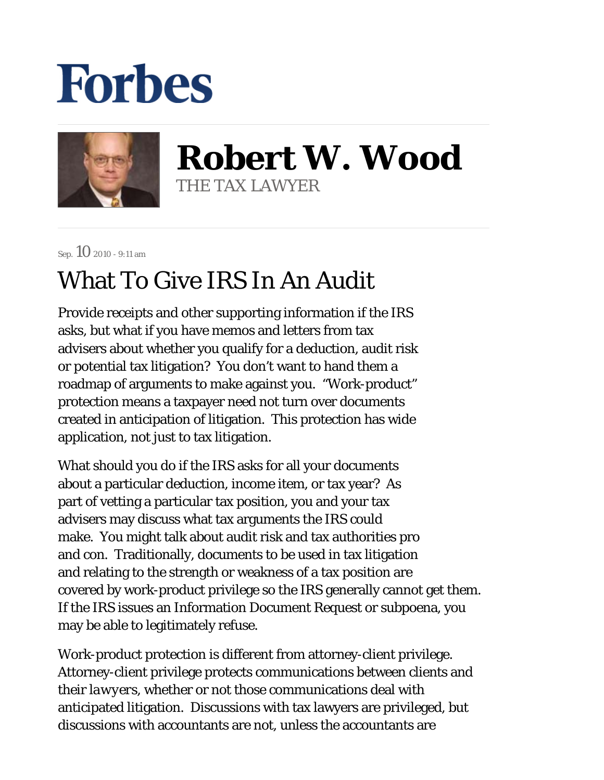## **Forbes**



**Robert W. Wood** THE TAX LAWYER

Sep.  $10$  2010 - 9:11 am

## What To Give IRS In An Audit

Provide receipts and other supporting information if the IRS asks, but what if you have memos and letters from tax advisers about whether you qualify for a deduction, audit risk or potential tax litigation? You don't want to hand them a roadmap of arguments to make against you. "Work-product" protection means a taxpayer need not turn over documents created in anticipation of litigation. This protection has wide application, not just to tax litigation.

What should you do if the IRS asks for all your documents about a particular deduction, income item, or tax year? As part of vetting a particular tax position, you and your tax advisers may discuss what tax arguments the IRS could make. You might talk about audit risk and tax authorities pro and con. Traditionally, documents to be used in tax litigation and relating to the strength or weakness of a tax position are covered by work-product privilege so the IRS generally cannot get them. If the IRS issues an Information Document Request or subpoena, you may be able to legitimately refuse.

Work-product protection is different from attorney-client privilege. Attorney-client privilege protects communications between clients and their *lawyers*, whether or not those communications deal with anticipated litigation. Discussions with tax lawyers are privileged, but discussions with accountants are not, unless the accountants are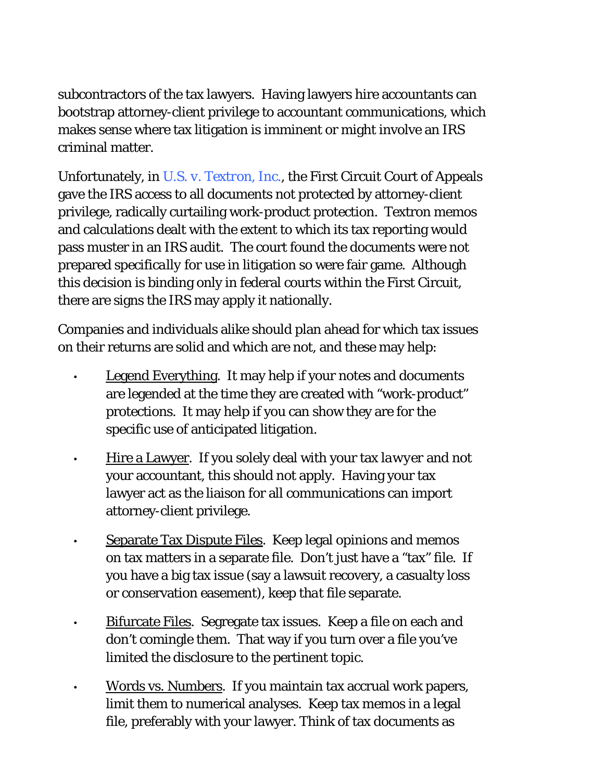subcontractors of the tax lawyers. Having lawyers hire accountants can bootstrap attorney-client privilege to accountant communications, which makes sense where tax litigation is imminent or might involve an IRS criminal matter.

Unfortunately, in *U.S. v. Textron, Inc.*, the First Circuit Court of Appeals gave the IRS access to all documents not protected by attorney-client privilege, radically curtailing work-product protection. Textron memos and calculations dealt with the extent to which its tax reporting would pass muster in an IRS audit. The court found the documents were not prepared *specifically* for use in litigation so were fair game. Although this decision is binding only in federal courts within the First Circuit, there are signs the IRS may apply it nationally.

Companies and individuals alike should plan ahead for which tax issues on their returns are solid and which are not, and these may help:

•

•

•

•

- Legend Everything. It may help if your notes and documents are legended at the time they are created with "work-product" protections. It may help if you can show they are for the specific use of anticipated litigation.
- Hire a Lawyer. If you solely deal with your tax *lawyer* and *not* your accountant, this should not apply. Having your tax lawyer act as the liaison for all communications can import attorney-client privilege. •
	- Separate Tax Dispute Files. Keep legal opinions and memos on tax matters in a separate file. Don't just have a "tax" file. If you have a big tax issue (say a lawsuit recovery, a casualty loss or conservation easement), keep *that* file separate.
	- Bifurcate Files. Segregate tax issues. Keep a file on each and don't comingle them. That way if you turn over a file you've limited the disclosure to the pertinent topic.
	- Words vs. Numbers. If you maintain tax accrual work papers, limit them to numerical analyses. Keep tax memos in a legal file, preferably with your lawyer. Think of tax documents as